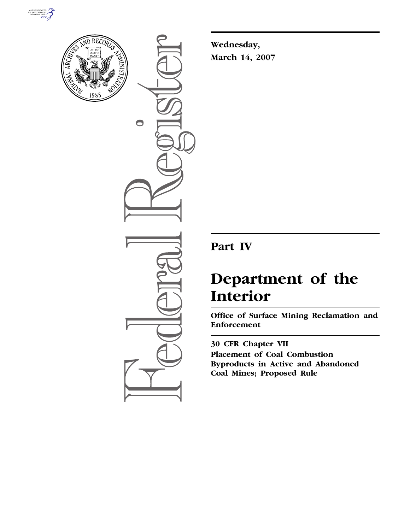



 $\bigcirc$ 

**Wednesday, March 14, 2007** 

## **Part IV**

# **Department of the Interior**

**Office of Surface Mining Reclamation and Enforcement** 

**30 CFR Chapter VII Placement of Coal Combustion Byproducts in Active and Abandoned Coal Mines; Proposed Rule**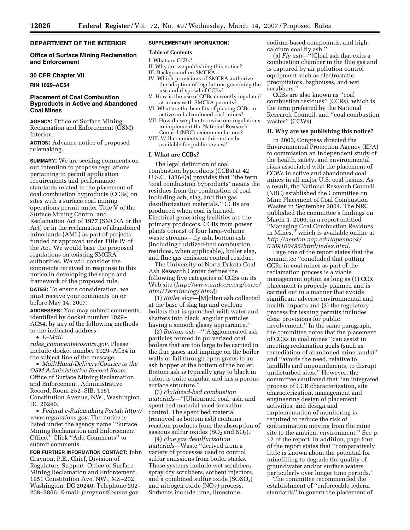#### **DEPARTMENT OF THE INTERIOR**

#### **Office of Surface Mining Reclamation and Enforcement**

#### **30 CFR Chapter VII**

**RIN 1029–AC54** 

#### **Placement of Coal Combustion Byproducts in Active and Abandoned Coal Mines**

**AGENCY:** Office of Surface Mining Reclamation and Enforcement (OSM), **Interior** 

**ACTION:** Advance notice of proposed rulemaking.

**SUMMARY:** We are seeking comments on our intention to propose regulations pertaining to permit application requirements and performance standards related to the placement of coal combustion byproducts (CCBs) on sites with a surface coal mining operations permit under Title V of the Surface Mining Control and Reclamation Act of 1977 (SMCRA or the Act) or in the reclamation of abandoned mine lands (AML) as part of projects funded or approved under Title IV of the Act. We would base the proposed regulations on existing SMCRA authorities. We will consider the comments received in response to this notice in developing the scope and framework of the proposed rule.

**DATES:** To ensure consideration, we must receive your comments on or before May 14, 2007.

**ADDRESSES:** You may submit comments, identified by docket number 1029– AC54, by any of the following methods to the indicated address:

• *E–Mail:* 

*rules*\_*comments@osmre.gov*. Please include docket number 1029–AC54 in the subject line of the message.

• *Mail/Hand-Delivery/Courier to the OSM Administrative Record Room:*  Office of Surface Mining Reclamation and Enforcement, Administrative Record, Room 252–SIB, 1951 Constitution Avenue, NW., Washington, DC 20240.

• *Federal e-Rulemaking Portal: http:// www.regulations.gov.* The notice is listed under the agency name ''Surface Mining Reclamation and Enforcement Office.'' Click ''Add Comments'' to submit comments.

**FOR FURTHER INFORMATION CONTACT:** John Craynon, P.E., Chief, Division of Regulatory Support, Office of Surface Mining Reclamation and Enforcement, 1951 Constitution Ave, NW., MS–202, Washington, DC 20240; Telephone 202– 208–2866; E-mail: *jcraynon@osmre.gov.* 

#### **SUPPLEMENTARY INFORMATION:**

### **Table of Contents**

- I. What are CCBs?
- II. Why are we publishing this notice? III. Background on SMCRA.
- 
- IV. Which provisions of SMCRA authorize the adoption of regulations governing the use and disposal of CCBs?
- V. How is the use of CCBs currently regulated at mines with SMCRA permits?
- VI. What are the benefits of placing CCBs in active and abandoned coal mines?
- VII. How do we plan to revise our regulations to implement the National Research Council (NRC) recommendations?
- VIII. Will comments on this notice be available for public review?

#### **I. What are CCBs?**

The legal definition of coal combustion byproducts (CCBs) at 42 U.S.C. 13364(a) provides that ''the term 'coal combustion byproducts' means the residues from the combustion of coal including ash, slag, and flue gas desulfurization materials.'' CCBs are produced when coal is burned. Electrical generating facilities are the primary producers. CCBs from power plants consist of four large-volume waste streams—fly ash, bottom ash (including fluidized-bed combustion residues, when applicable), boiler slag, and flue gas emission control residue.

The University of North Dakota Coal Ash Research Center defines the following five categories of CCBs on its Web site (*http://www.undeerc.org/carrc/ html/Terminology.html*):

(1) *Boiler slag*—[M]olten ash collected at the base of slag tap and cyclone boilers that is quenched with water and shatters into black, angular particles having a smooth glassy appearance.''

(2) *Bottom ash*—''[A]gglomerated ash particles formed in pulverized coal boilers that are too large to be carried in the flue gases and impinge on the boiler walls or fall through open grates to an ash hopper at the bottom of the boiler. Bottom ash is typically gray to black in color, is quite angular, and has a porous surface structure."

(3) *Fluidized-bed combustion materials*—''[U]nburned coal, ash, and spent bed material used for sulfur control. The spent bed material (removed as bottom ash) contains reaction products from the absorption of gaseous sulfur oxides  $(SO_2$  and  $SO_3)$ ."

(4) *Flue gas desulfurization materials*—Waste ''derived from a variety of processes used to control sulfur emissions from boiler stacks. These systems include wet scrubbers, spray dry scrubbers, sorbent injectors, and a combined sulfur oxide  $(SOSO_x)$ and nitrogen oxide  $(NO<sub>X</sub>)$  process. Sorbents include lime, limestone,

sodium-based compounds, and highcalcium coal fly ash.''

(5) *Fly ash*—''[C]oal ash that exits a combustion chamber in the flue gas and is captured by air pollution control equipment such as electrostatic precipitators, baghouses, and wet scrubbers.''

CCBs are also known as ''coal combustion residues'' (CCRs), which is the term preferred by the National Research Council, and ''coal combustion wastes'' (CCWs).

#### **II. Why are we publishing this notice?**

In 2003, Congress directed the Environmental Protection Agency (EPA) to commission an independent study of the health, safety, and environmental risks associated with the placement of CCWs in active and abandoned coal mines in all major U.S. coal basins. As a result, the National Research Council (NRC) established the Committee on Mine Placement of Coal Combustion Wastes in September 2004. The NRC published the committee's findings on March 1, 2006, in a report entitled ''Managing Coal Combustion Residues in Mines,'' which is available online at *http://newton.nap.edu/openbook/ 0309100496/html/index.html.* 

Page one of the report states that the committee ''concluded that putting CCRs in coal mines as part of the reclamation process is a viable management option as long as (1) CCR placement is properly planned and is carried out in a manner that avoids significant adverse environmental and health impacts and (2) the regulatory process for issuing permits includes clear provisions for public involvement.'' In the same paragraph, the committee notes that the placement of CCRs in coal mines ''can assist in meeting reclamation goals (such as remediation of abandoned mine lands)'' and ''avoids the need, relative to landfills and impoundments, to disrupt undisturbed sites.'' However, the committee cautioned that ''an integrated process of CCR characterization, site characterization, management and engineering design of placement activities, and design and implementation of monitoring is required to reduce the risk of contamination moving from the mine site to the ambient environment.'' See p. 12 of the report. In addition, page four of the report states that ''comparatively little is known about the potential for minefilling to degrade the quality of groundwater and/or surface waters particularly over longer time periods.''

The committee recommended the establishment of ''enforceable federal standards'' to govern the placement of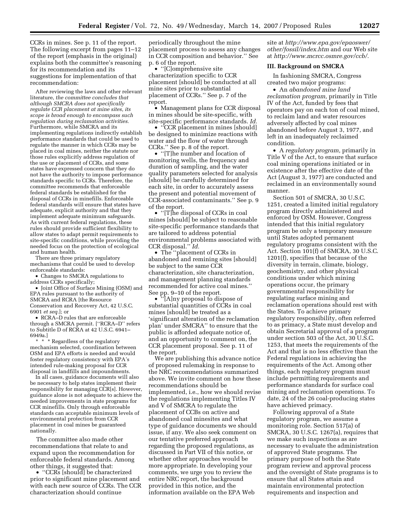CCRs in mines. See p. 11 of the report. The following excerpt from pages 11–12 of the report (emphasis in the original) explains both the committee's reasoning for its recommendation and its suggestions for implementation of that recommendation:

After reviewing the laws and other relevant literature, *the committee concludes that although SMCRA does not specifically regulate CCR placement at mine sites, its scope is broad enough to encompass such regulation during reclamation activities.*  Furthermore, while SMCRA and its implementing regulations indirectly establish performance standards that could be used to regulate the manner in which CCRs may be placed in coal mines, neither the statute nor those rules explicitly address regulation of the use or placement of CCRs, and some states have expressed concern that they do not have the authority to impose performance standards specific to CCRs. Therefore, the committee recommends that enforceable federal standards be established for the disposal of CCRs in minefills. Enforceable federal standards will ensure that states have adequate, explicit authority and that they implement adequate minimum safeguards. As with current federal regulations, these rules should provide sufficient flexibility to allow states to adapt permit requirements to site-specific conditions, while providing the needed focus on the protection of ecological and human health.

There are three primary regulatory mechanisms that could be used to develop enforceable standards:

• Changes to SMCRA regulations to address CCRs specifically;

• Joint Office of Surface Mining (OSM) and EPA rules pursuant to the authority of SMCRA and RCRA [the Resource Conservation and Recovery Act, 42 U.S.C. 6901 *et seq.*]; or

• RCRA–D rules that are enforceable through a SMCRA permit. [''RCRA–D'' refers to Subtitle D of RCRA at 42 U.S.C. 6941– 6949a.]

\* \* \* Regardless of the regulatory mechanism selected, coordination between OSM and EPA efforts is needed and would foster regulatory consistency with EPA's intended rule-making proposal for CCR disposal in landfills and impoundments.

In all cases, guidance documents will also be necessary to help states implement their responsibility for managing CCR[s]. However, guidance alone is not adequate to achieve the needed improvements in state programs for CCR minefills. Only through enforceable standards can acceptable minimum levels of environmental protection from CCR placement in coal mines be guaranteed nationally.

The committee also made other recommendations that relate to and expand upon the recommendation for enforceable federal standards. Among other things, it suggested that:

• "CCRs [should] be characterized prior to significant mine placement and with each new source of CCRs. The CCR characterization should continue

periodically throughout the mine placement process to assess any changes in CCR composition and behavior.'' See p. 6 of the report.

• ''[C]omprehensive site characterization specific to CCR placement [should] be conducted at all mine sites prior to substantial placement of CCRs.'' See p. 7 of the report.

• Management plans for CCR disposal in mines should be site-specific, with site-specific performance standards. *Id.* 

• "CCR placement in mines [should] be designed to minimize reactions with water and the flow of water through CCRs.'' See p. 8 of the report.

• "[T]he number and location of monitoring wells, the frequency and duration of sampling, and the water quality parameters selected for analysis [should] be carefully determined for each site, in order to accurately assess the present and potential movement of CCR-associated contaminants.'' See p. 9 of the report.

• ''[T]he disposal of CCRs in coal mines [should] be subject to reasonable site-specific performance standards that are tailored to address potential environmental problems associated with CCR disposal.'' *Id.* 

• The ''placement of CCRs in abandoned and remining sites [should] be subject to the same CCR characterization, site characterization, and management planning standards recommended for active coal mines.'' See pp. 9–10 of the report.

• <sup>\*</sup>'[A]ny proposal to dispose of substantial quantities of CCRs in coal mines [should] be treated as a 'significant alteration of the reclamation plan' under SMCRA'' to ensure that the public is afforded adequate notice of, and an opportunity to comment on, the CCR placement proposal. See p. 11 of the report.

We are publishing this advance notice of proposed rulemaking in response to the NRC recommendations summarized above. We invite comment on how these recommendations should be implemented, i.e., how we should revise the regulations implementing Titles IV and V of SMCRA to regulate the placement of CCBs on active and abandoned coal minesites and what type of guidance documents we should issue, if any. We also seek comment on our tentative preferred approach regarding the proposed regulations, as discussed in Part VII of this notice, or whether other approaches would be more appropriate. In developing your comments, we urge you to review the entire NRC report, the background provided in this notice, and the information available on the EPA Web

site at *http://www.epa.gov/epaoswer/ other/fossil/index.htm* and our Web site at *http://www.mcrcc.osmre.gov/ccb/.* 

#### **III. Background on SMCRA**

In fashioning SMCRA, Congress created two major programs:

• An *abandoned mine land reclamation program,* primarily in Title IV of the Act, funded by fees that operators pay on each ton of coal mined, to reclaim land and water resources adversely affected by coal mines abandoned before August 3, 1977, and left in an inadequately reclaimed condition.

• A *regulatory program,* primarily in Title V of the Act, to ensure that surface coal mining operations initiated or in existence after the effective date of the Act (August 3, 1977) are conducted and reclaimed in an environmentally sound manner.

Section 501 of SMCRA, 30 U.S.C. 1251, created a limited initial regulatory program directly administered and enforced by OSM. However, Congress intended that this initial regulatory program be only a temporary measure until States adopted permanent regulatory programs consistent with the Act. Section 101(f) of SMCRA, 30 U.S.C. 1201(f), specifies that because of the diversity in terrain, climate, biology, geochemistry, and other physical conditions under which mining operations occur, the primary governmental responsibility for regulating surface mining and reclamation operations should rest with the States. To achieve primary regulatory responsibility, often referred to as primacy, a State must develop and obtain Secretarial approval of a program under section 503 of the Act, 30 U.S.C. 1253, that meets the requirements of the Act and that is no less effective than the Federal regulations in achieving the requirements of the Act. Among other things, each regulatory program must include permitting requirements and performance standards for surface coal mining and reclamation operations. To date, 24 of the 26 coal-producing states have achieved primacy.

Following approval of a State regulatory program, we assume a monitoring role. Section 517(a) of SMCRA, 30 U.S.C. 1267(a), requires that we make such inspections as are necessary to evaluate the administration of approved State programs. The primary purpose of both the State program review and approval process and the oversight of State programs is to ensure that all States attain and maintain environmental protection requirements and inspection and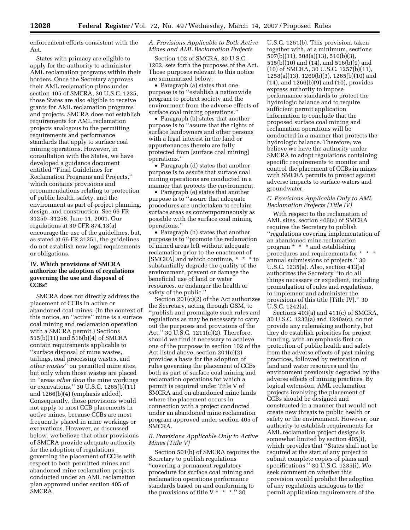enforcement efforts consistent with the Act.

States with primacy are eligible to apply for the authority to administer AML reclamation programs within their borders. Once the Secretary approves their AML reclamation plans under section 405 of SMCRA, 30 U.S.C. 1235, those States are also eligible to receive grants for AML reclamation programs and projects. SMCRA does not establish requirements for AML reclamation projects analogous to the permitting requirements and performance standards that apply to surface coal mining operations. However, in consultation with the States, we have developed a guidance document entitled ''Final Guidelines for Reclamation Programs and Projects,'' which contains provisions and recommendations relating to protection of public health, safety, and the environment as part of project planning, design, and construction. See 66 FR 31250–31258, June 11, 2001. Our regulations at 30 CFR 874.13(a) encourage the use of the guidelines, but, as stated at 66 FR 31251, the guidelines do not establish new legal requirements or obligations.

#### **IV. Which provisions of SMCRA authorize the adoption of regulations governing the use and disposal of CCBs?**

SMCRA does not directly address the placement of CCBs in active or abandoned coal mines. (In the context of this notice, an ''active'' mine is a surface coal mining and reclamation operation with a SMCRA permit.) Sections 515(b)(11) and 516(b)(4) of SMCRA contain requirements applicable to ''surface disposal of mine wastes, tailings, coal processing wastes, and *other wastes*'' on permitted mine sites, but only when those wastes are placed in ''areas *other than* the mine workings or excavations.'' 30 U.S.C. 1265(b)(11) and 1266(b)(4) (emphasis added). Consequently, those provisions would not apply to most CCB placements in active mines, because CCBs are most frequently placed in mine workings or excavations. However, as discussed below, we believe that other provisions of SMCRA provide adequate authority for the adoption of regulations governing the placement of CCBs with respect to both permitted mines and abandoned mine reclamation projects conducted under an AML reclamation plan approved under section 405 of SMCRA.

#### *A. Provisions Applicable to Both Active Mines and AML Reclamation Projects*

Section 102 of SMCRA, 30 U.S.C. 1202, sets forth the purposes of the Act. Those purposes relevant to this notice are summarized below:

• Paragraph (a) states that one purpose is to ''establish a nationwide program to protect society and the environment from the adverse effects of surface coal mining operations.''

• Paragraph (b) states that another purpose is to ''assure that the rights of surface landowners and other persons with a legal interest in the land or appurtenances thereto are fully protected from [surface coal mining] operations.''

• Paragraph (d) states that another purpose is to assure that surface coal mining operations are conducted in a manner that protects the environment.

• Paragraph (e) states that another purpose is to ''assure that adequate procedures are undertaken to reclaim surface areas as contemporaneously as possible with the surface coal mining operations.''

• Paragraph (h) states that another purpose is to ''promote the reclamation of mined areas left without adequate reclamation prior to the enactment of [SMCRA] and which continue, \* \* \* to substantially degrade the quality of the environment, prevent or damage the beneficial use of land or water resources, or endanger the health or safety of the public.

Section 201(c)(2) of the Act authorizes the Secretary, acting through OSM, to ''publish and promulgate such rules and regulations as may be necessary to carry out the purposes and provisions of the Act.'' 30 U.S.C. 1211(c)(2). Therefore, should we find it necessary to achieve one of the purposes in section 102 of the Act listed above, section 201(c)(2) provides a basis for the adoption of rules governing the placement of CCBs both as part of surface coal mining and reclamation operations for which a permit is required under Title V of SMCRA and on abandoned mine lands where the placement occurs in connection with a project conducted under an abandoned mine reclamation program approved under section 405 of SMCRA.

#### *B. Provisions Applicable Only to Active Mines (Title V)*

Section 501(b) of SMCRA requires the Secretary to publish regulations ''covering a permanent regulatory procedure for surface coal mining and reclamation operations performance standards based on and conforming to the provisions of title V  $*$   $*$   $*$ ." 30

U.S.C. 1251(b). This provision, taken together with, at a minimum, sections 507(b)(11), 508(a)(13), 510(b)(3), 515(b)(10) and (14), and 516(b)(9) and (10) of SMCRA, 30 U.S.C. 1257(b)(11), 1258(a)(13), 1260(b)(3), 1265(b)(10) and (14), and 1266(b)(9) and (10), provides express authority to impose performance standards to protect the hydrologic balance and to require sufficient permit application information to conclude that the proposed surface coal mining and reclamation operations will be conducted in a manner that protects the hydrologic balance. Therefore, we believe we have the authority under SMCRA to adopt regulations containing specific requirements to monitor and control the placement of CCBs in mines with SMCRA permits to protect against adverse impacts to surface waters and groundwater.

#### *C. Provisions Applicable Only to AML Reclamation Projects (Title IV)*

With respect to the reclamation of AML sites, section 405(a) of SMCRA requires the Secretary to publish ''regulations covering implementation of an abandoned mine reclamation program \* \* \* and establishing procedures and requirements for \* \* \* annual submissions of projects.'' 30 U.S.C. 1235(a). Also, section 413(a) authorizes the Secretary ''to do all things necessary or expedient, including promulgation of rules and regulations, to implement and administer the provisions of this title [Title IV].'' 30 U.S.C. 1242(a).

Sections 403(a) and 411(c) of SMCRA, 30 U.S.C. 1233(a) and 1240a(c), do not provide any rulemaking authority, but they do establish priorities for project funding, with an emphasis first on protection of public health and safety from the adverse effects of past mining practices, followed by restoration of land and water resources and the environment previously degraded by the adverse effects of mining practices. By logical extension, AML reclamation projects involving the placement of CCBs should be designed and constructed in a manner that would not create new threats to public health or safety or the environment. However, our authority to establish requirements for AML reclamation project designs is somewhat limited by section 405(i), which provides that ''States shall not be required at the start of any project to submit complete copies of plans and specifications.'' 30 U.S.C. 1235(i). We seek comment on whether this provision would prohibit the adoption of any regulations analogous to the permit application requirements of the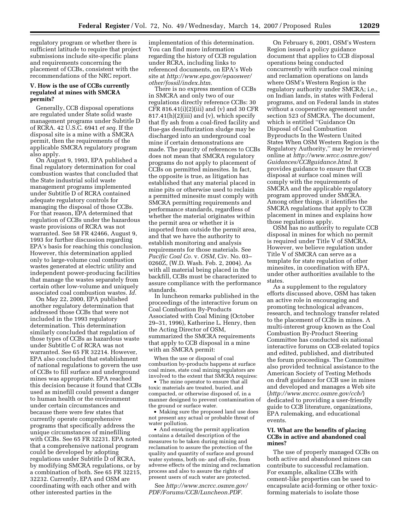regulatory program or whether there is sufficient latitude to require that project submissions include site-specific plans and requirements concerning the placement of CCBs, consistent with the recommendations of the NRC report.

#### **V. How is the use of CCBs currently regulated at mines with SMCRA permits?**

Generally, CCB disposal operations are regulated under State solid waste management programs under Subtitle D of RCRA. 42 U.S.C. 6941 *et seq.* If the disposal site is a mine with a SMCRA permit, then the requirements of the applicable SMCRA regulatory program also apply.

On August 9, 1993, EPA published a final regulatory determination for coal combustion wastes that concluded that the State industrial solid waste management programs implemented under Subtitle D of RCRA contained adequate regulatory controls for managing the disposal of those CCBs. For that reason, EPA determined that regulation of CCBs under the hazardous waste provisions of RCRA was not warranted. See 58 FR 42466, August 9, 1993 for further discussion regarding EPA's basis for reaching this conclusion. However, this determination applied only to large-volume coal combustion wastes generated at electric utility and independent power-producing facilities that manage the wastes separately from certain other low-volume and uniquely associated coal combustion wastes. *Id.* 

On May 22, 2000, EPA published another regulatory determination that addressed those CCBs that were not included in the 1993 regulatory determination. This determination similarly concluded that regulation of those types of CCBs as hazardous waste under Subtitle C of RCRA was not warranted. See 65 FR 32214. However, EPA also concluded that establishment of national regulations to govern the use of CCBs to fill surface and underground mines was appropriate. EPA reached this decision because it found that CCBs used as minefill could present a danger to human health or the environment under certain circumstances and because there were few states that currently operate comprehensive programs that specifically address the unique circumstances of minefilling with CCBs. See 65 FR 32231. EPA noted that a comprehensive national program could be developed by adopting regulations under Subtitle D of RCRA, by modifying SMCRA regulations, or by a combination of both. See 65 FR 32215, 32232. Currently, EPA and OSM are coordinating with each other and with other interested parties in the

implementation of this determination. You can find more information regarding the history of CCB regulation under RCRA, including links to referenced documents, on EPA's Web site at *http://www.epa.gov/epaoswer/ other/fossil/index.htm*.

There is no express mention of CCBs in SMCRA and only two of our regulations directly reference CCBs: 30 CFR 816.41(i)(2)(iii) and (v) and 30 CFR  $817.41(h)(2)(iii)$  and (v), which specify that fly ash from a coal-fired facility and flue-gas desulfurization sludge may be discharged into an underground coal mine if certain demonstrations are made. The paucity of references to CCBs does not mean that SMCRA regulatory programs do not apply to placement of CCBs on permitted minesites. In fact, the opposite is true, as litigation has established that any material placed in mine pits or otherwise used to reclaim a permitted minesite must comply with SMCRA permitting requirements and performance standards, regardless of whether the material originates within the permit area or whether it is imported from outside the permit area, and that we have the authority to establish monitoring and analysis requirements for those materials. See *Pacific Coal Co.* v. *OSM*, Civ. No. 03– 0260Z, (W.D. Wash. Feb. 2, 2004). As with all material being placed in the backfill, CCBs must be characterized to assure compliance with the performance standards.

In luncheon remarks published in the proceedings of the interactive forum on Coal Combustion By-Products Associated with Coal Mining (October 29–31, 1996), Katherine L. Henry, then the Acting Director of OSM, summarized the SMCRA requirements that apply to CCB disposal in a mine with an SMCRA permit:

When the use or disposal of coal combustion by-products happens at surface coal mines, state coal mining regulators are involved to the extent that SMCRA requires:

• The mine operator to ensure that all toxic materials are treated, buried, and compacted, or otherwise disposed of, in a manner designed to prevent contamination of the ground or surface water.

• Making sure the proposed land use does not present any actual or probable threat of water pollution.

• And ensuring the permit application contains a detailed description of the measures to be taken during mining and reclamation to assure the protection of the quality and quantity of surface and ground water systems, both on- and off-site, from adverse effects of the mining and reclamation process and also to assure the rights of present users of such water are protected.

See *http://www.mcrcc.osmre.gov/ PDF/Forums/CCB/Luncheon.PDF*.

On February 6, 2001, OSM's Western Region issued a policy guidance document that applies to CCB disposal operations being conducted concurrently with surface coal mining and reclamation operations on lands where OSM's Western Region is the regulatory authority under SMCRA; i.e., on Indian lands, in states with Federal programs, and on Federal lands in states without a cooperative agreement under section 523 of SMCRA. The document, which is entitled ''Guidance On Disposal of Coal Combustion Byproducts In the Western United States When OSM Western Region is the Regulatory Authority,'' may be reviewed online at *http://www.wrcc.osmre.gov/ Guidances/CCBguidance.html*. It provides guidance to ensure that CCB disposal at surface coal mines will comply with the requirements of SMCRA and the applicable regulatory program approved under SMCRA. Among other things, it identifies the SMCRA regulations that apply to CCB placement in mines and explains how those regulations apply.

OSM has no authority to regulate CCB disposal in mines for which no permit is required under Title V of SMCRA. However, we believe regulation under Title V of SMCRA can serve as a template for state regulation of other minesites, in coordination with EPA, under other authorities available to the states.

As a supplement to the regulatory efforts discussed above, OSM has taken an active role in encouraging and promoting technological advances, research, and technology transfer related to the placement of CCBs in mines. A multi-interest group known as the Coal Combustion By-Product Steering Committee has conducted six national interactive forums on CCB-related topics and edited, published, and distributed the forum proceedings. The Committee also provided technical assistance to the American Society of Testing Methods on draft guidance for CCB use in mines and developed and manages a Web site (*http://www.mcrcc.osmre.gov/ccb/*) dedicated to providing a user-friendly guide to CCB literature, organizations, EPA rulemaking, and educational events.

#### **VI. What are the benefits of placing CCBs in active and abandoned coal mines?**

The use of properly managed CCBs on both active and abandoned mines can contribute to successful reclamation. For example, alkaline CCBs with cement-like properties can be used to encapsulate acid-forming or other toxicforming materials to isolate those